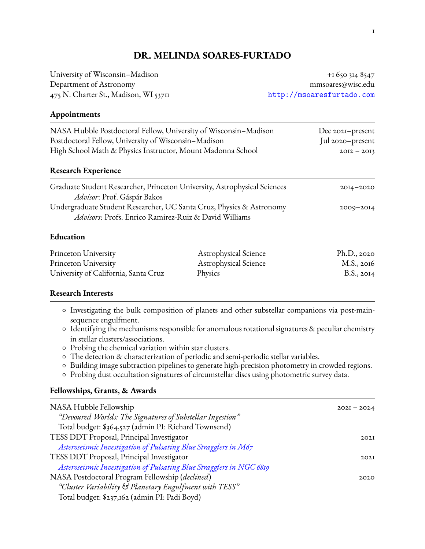# **DR. MELINDA SOARES-FURTADO**

University of Wisconsin–Madison +1 650 314 8547 Department of Astronomy mmsoares@wisc.edu 475 N. Charter St., Madison, WI 53711 <http://msoaresfurtado.com>

## **Appointments**

| NASA Hubble Postdoctoral Fellow, University of Wisconsin-Madison<br>Postdoctoral Fellow, University of Wisconsin-Madison<br>High School Math & Physics Instructor, Mount Madonna School | Dec 2021-present<br>Jul 2020-present<br>$20I2 - 20I3$ |
|-----------------------------------------------------------------------------------------------------------------------------------------------------------------------------------------|-------------------------------------------------------|
| <b>Research Experience</b>                                                                                                                                                              |                                                       |
| Graduate Student Researcher, Princeton University, Astrophysical Sciences<br>Advisor: Prof. Gáspár Bakos                                                                                | $20I4 - 2020$                                         |
| Undergraduate Student Researcher, UC Santa Cruz, Physics & Astronomy<br>Advisors: Profs. Enrico Ramirez-Ruiz & David Williams                                                           | $2009 - 2014$                                         |
| Education                                                                                                                                                                               |                                                       |

| Princeton University                 | <b>Astrophysical Science</b> | Ph.D., 2020 |
|--------------------------------------|------------------------------|-------------|
| Princeton University                 | <b>Astrophysical Science</b> | M.S., 2016  |
| University of California, Santa Cruz | Physics                      | B.S., 2014  |

### **Research Interests**

- Investigating the bulk composition of planets and other substellar companions via post-mainsequence engulfment.
- Identifying the mechanisms responsible for anomalous rotational signatures & peculiar chemistry in stellar clusters/associations.
- Probing the chemical variation within star clusters.
- The detection & characterization of periodic and semi-periodic stellar variables.
- Building image subtraction pipelines to generate high-precision photometry in crowded regions.
- Probing dust occultation signatures of circumstellar discs using photometric survey data.

## **Fellowships, Grants, & Awards**

| NASA Hubble Fellowship                                               | $202I - 2024$ |
|----------------------------------------------------------------------|---------------|
| "Devoured Worlds: The Signatures of Substellar Ingestion"            |               |
| Total budget: \$364,527 (admin PI: Richard Townsend)                 |               |
| TESS DDT Proposal, Principal Investigator                            | 202I          |
| Asteroseismic Investigation of Pulsating Blue Stragglers in M67      |               |
| TESS DDT Proposal, Principal Investigator                            | 202I          |
| Asteroseismic Investigation of Pulsating Blue Stragglers in NGC 6819 |               |
| NASA Postdoctoral Program Fellowship (declined)                      | 2020          |
| "Cluster Variability & Planetary Engulfment with TESS"               |               |
| Total budget: \$237,162 (admin PI: Padi Boyd)                        |               |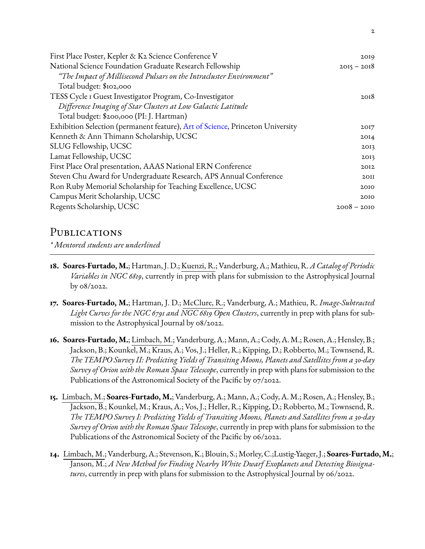| First Place Poster, Kepler & K2 Science Conference V                           | 2019          |
|--------------------------------------------------------------------------------|---------------|
| National Science Foundation Graduate Research Fellowship                       | $2015 - 2018$ |
| "The Impact of Millisecond Pulsars on the Intracluster Environment"            |               |
| Total budget: \$102,000                                                        |               |
| TESS Cycle I Guest Investigator Program, Co-Investigator                       | 2018          |
| Difference Imaging of Star Clusters at Low Galactic Latitude                   |               |
| Total budget: \$200,000 (PI: J. Hartman)                                       |               |
| Exhibition Selection (permanent feature), Art of Science, Princeton University | 2017          |
| Kenneth & Ann Thimann Scholarship, UCSC                                        | 2014          |
| SLUG Fellowship, UCSC                                                          | 2013          |
| Lamat Fellowship, UCSC                                                         | 2013          |
| First Place Oral presentation, AAAS National ERN Conference                    | 2012          |
| Steven Chu Award for Undergraduate Research, APS Annual Conference             | 2OII          |
| Ron Ruby Memorial Scholarship for Teaching Excellence, UCSC                    | 2010          |
| Campus Merit Scholarship, UCSC                                                 | 2010          |
| Regents Scholarship, UCSC                                                      | $2008 - 2010$ |
|                                                                                |               |

# PUBLICATIONS

*\* Mentored students are underlined*

- **18. Soares-Furtado, M.**; Hartman, J. D.; Kuenzi, R.; Vanderburg, A.; Mathieu, R.*A Catalog of Periodic Variables in NGC 6819*, currently in prep with plans for submission to the Astrophysical Journal by 08/2022.
- **17. Soares-Furtado, M.**; Hartman, J. D.; McClure, R.; Vanderburg, A.; Mathieu, R. *Image-Subtracted Light Curves for the NGC 6791 and NGC 6819 Open Clusters*, currently in prep with plans for submission to the Astrophysical Journal by 08/2022.
- **16. Soares-Furtado, M.**; Limbach, M.; Vanderburg, A.; Mann, A.; Cody, A.M.; Rosen, A.; Hensley, B.; Jackson, B.; Kounkel, M.; Kraus, A.; Vos, J.; Heller, R.; Kipping, D.; Robberto, M.; Townsend, R. *The TEMPO Survey II: Predicting Yields of Transiting Moons, Planets and Satellites from a 30-day Survey of Orion with the Roman Space Telescope*, currently in prep with plans for submission to the Publications of the Astronomical Society of the Pacific by 07/2022.
- **15.** Limbach, M.; **Soares-Furtado, M.**; Vanderburg, A.; Mann, A.; Cody, A. M.; Rosen, A.; Hensley, B.; Jackson, B.; Kounkel, M.; Kraus, A.; Vos, J.; Heller, R.; Kipping, D.; Robberto, M.; Townsend, R. *The TEMPO Survey I: Predicting Yields of Transiting Moons, Planets and Satellites from a 30-day Survey of Orion with the Roman Space Telescope*, currently in prep with plans for submission to the Publications of the Astronomical Society of the Pacific by 06/2022.
- **14.** Limbach, M.; Vanderburg,A.; Stevenson,K.; Blouin, S.; Morley, C.;Lustig-Yaeger, J.; **Soares-Furtado, M.**; Janson, M.; *A New Method for Finding Nearby White Dwarf Exoplanets and Detecting Biosignatures*, currently in prep with plans for submission to the Astrophysical Journal by 06/2022.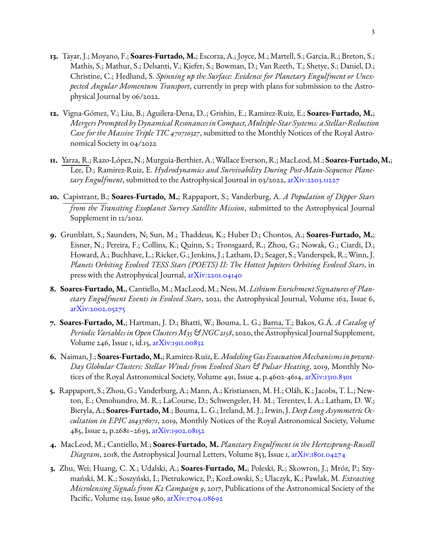- **13.** Tayar, J.; Moyano, F.; **Soares-Furtado, M.**; Escorza, A.; Joyce, M.; Martell, S.; Garcia, R.; Breton, S.; Mathis, S.; Mathur, S.; Delsanti, V.; Kiefer, S.; Bowman, D.; Van Reeth, T.; Shetye, S.; Daniel, D.; Christine, C.; Hedlund, S. *Spinning up the Surface: Evidence for Planetary Engulfment or Unexpected Angular Momentum Transport*, currently in prep with plans for submission to the Astrophysical Journal by 06/2022.
- **12.** Vigna-Gómez, V.; Liu, B.; Aguilera-Dena, D..; Grishin, E.; Ramirez-Ruiz, E.; **Soares-Furtado, M.**; *Mergers Prompted by DynamicalResonancesin Compact,Multiple-Star Systems: a Stellar-Reduction Case for the Massive Triple TIC 470710327*, submitted to the Monthly Notices of the Royal Astronomical Society in 04/2022
- **11.** Yarza, R.; Razo-López, N.; Murguia-Berthier,A.; Wallace Everson, R.; MacLeod,M.; **Soares-Furtado, M.**; Lee, D.; Ramirez-Ruiz, E. *Hydrodynamics and Survivability During Post-Main-Sequence Planetary Engulfment*, submitted to the Astrophysical Journal in 03/2022, [arXiv:2203.11227](https://arxiv.org/abs/2203.11227v1)
- **10.** Capistrant, B.; **Soares-Furtado, M.**; Rappaport, S.; Vanderburg, A. *A Population of Dipper Stars from the Transiting Exoplanet Survey Satellite Mission*, submitted to the Astrophysical Journal Supplement in 12/2021.
- **9.** Grunblatt, S.; Saunders, N; Sun, M.; Thaddeus, K.; Huber D.; Chontos, A.; **Soares-Furtado, M.**; Eisner, N.; Pereira, F.; Collins, K.; Quinn, S.; Tronsgaard, R.; Zhou, G.; Nowak, G.; Ciardi, D.; Howard, A.; Buchhave, L.; Ricker, G.; Jenkins, J.; Latham, D.; Seager, S.; Vanderspek, R.; Winn, J. *Planets Orbiting Evolved TESS Stars (POETS) II: The Hottest Jupiters Orbiting Evolved Stars*, in press with the Astrophysical Journal, [arXiv:2201.04140](https://arxiv.org/abs/2201.04140)
- **8. Soares-Furtado, M.**, Cantiello, M.; MacLeod, M.; Ness, M. *Lithium Enrichment Signatures of Planetary Engulfment Events in Evolved Stars*, 2021, the Astrophysical Journal, Volume 162, Issue 6, [arXiv:2002.05275](https://arxiv.org/abs/2002.05275)
- **7. Soares-Furtado, M.**; Hartman, J. D.; Bhatti, W.; Bouma, L. G.; Barna, T.; Bakos, G.Á. *A Catalog of Periodic Variablesin Open ClustersM35 & NGC 2158*, 2020, the Astrophysical Journal Supplement, Volume 246, Issue 1, id.15, [arXiv:1911.00832](https://arxiv.org/abs/1911.00832)
- **6.** Naiman, J.; **Soares-Furtado, M.**; Ramirez-Ruiz, E.*ModelingGas EvacuationMechanismsin present-Day Globular Clusters: Stellar Winds from Evolved Stars & Pulsar Heating*, 2019, Monthly Notices of the Royal Astronomical Society, Volume 491, Issue 4, p.4602-4614, [arXiv:1310.8301](https://arxiv.org/abs/1310.8301)
- **5.** Rappaport, S.; Zhou, G.; Vanderburg, A.; Mann, A.; Kristiansen, M. H.; Oláh, K.; Jacobs, T. L.; Newton, E.; Omohundro, M. R.; LaCourse, D.; Schwengeler, H. M.; Terentev, I. A.; Latham, D. W.; Bieryla, A.; **Soares-Furtado, M**.; Bouma, L. G.; Ireland, M. J.; Irwin, J. *Deep Long Asymmetric Occultation in EPIC 204376071*, 2019, Monthly Notices of the Royal Astronomical Society, Volume 485, Issue 2, p.2681–2693, [arXiv:1902.08152](https://arxiv.org/abs/1902.08152)
- **4.** MacLeod, M.; Cantiello, M.; **Soares-Furtado, M.** *Planetary Engulfment in the Hertzsprung-Russell Diagram*, 2018, the Astrophysical Journal Letters, Volume 853, Issue 1, [arXiv:1801.04274](https://arxiv.org/abs/1801.04274)
- **3.** Zhu, Wei; Huang, C. X.; Udalski, A.; **Soares-Furtado, M.**; Poleski, R.; Skowron, J.; Mróz, P.; Szymański, M. K.; Soszyński, I.; Pietrukowicz, P.; KozŁowski, S.; Ulaczyk, K.; Pawlak, M. *Extracting Microlensing Signals from K2 Campaign 9*, 2017, Publications of the Astronomical Society of the Pacific, Volume 129, Issue 980,  $a\overline{x}$ Xiv:1704.08692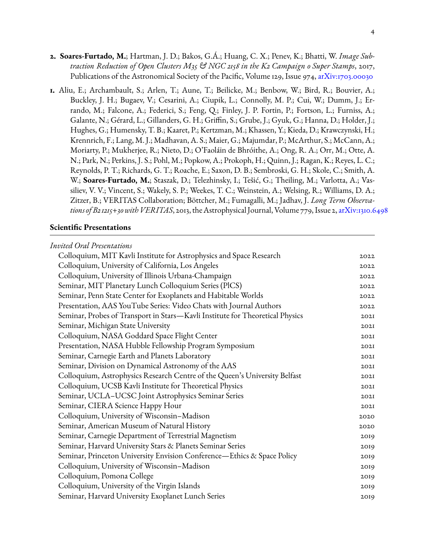- **2. Soares-Furtado, M.**; Hartman, J. D.; Bakos, G.Á.; Huang, C. X.; Penev, K.; Bhatti, W. *Image Subtraction Reduction of Open Clusters M35 & NGC 2158 in the K2 Campaign 0 Super Stamps*, 2017, Publications of the Astronomical Society of the Pacific, Volume 129, Issue 974, [arXiv:1703.00030](https://arxiv.org/abs/1703.00030)
- **1.** Aliu, E.; Archambault, S.; Arlen, T.; Aune, T.; Beilicke, M.; Benbow, W.; Bird, R.; Bouvier, A.; Buckley, J. H.; Bugaev, V.; Cesarini, A.; Ciupik, L.; Connolly, M. P.; Cui, W.; Dumm, J.; Errando, M.; Falcone, A.; Federici, S.; Feng, Q.; Finley, J. P. Fortin, P.; Fortson, L.; Furniss, A.; Galante, N.; Gérard, L.; Gillanders, G. H.; Griffin, S.; Grube, J.; Gyuk, G.; Hanna, D.; Holder, J.; Hughes, G.; Humensky, T. B.; Kaaret, P.; Kertzman, M.; Khassen, Y.; Kieda, D.; Krawczynski, H.; Krennrich, F.; Lang, M. J.; Madhavan, A. S.; Maier, G.; Majumdar, P.; McArthur, S.; McCann, A.; Moriarty, P.; Mukherjee, R.; Nieto, D.; O'Faoláin de Bhróithe, A.; Ong, R. A.; Orr, M.; Otte, A. N.; Park, N.; Perkins, J. S.; Pohl, M.; Popkow, A.; Prokoph, H.; Quinn, J.; Ragan, K.; Reyes, L. C.; Reynolds, P. T.; Richards, G. T.; Roache, E.; Saxon, D. B.; Sembroski, G. H.; Skole, C.; Smith, A. W.; **Soares-Furtado, M.**; Staszak, D.; Telezhinsky, I.; Tešić, G.; Theiling, M.; Varlotta, A.; Vassiliev, V. V.; Vincent, S.; Wakely, S. P.; Weekes, T. C.; Weinstein, A.; Welsing, R.; Williams, D. A.; Zitzer, B.; VERITAS Collaboration; Böttcher, M.; Fumagalli, M.; Jadhav, J. *Long Term Observa*tions of B21215+30 with VERITAS, 2013, the Astrophysical Journal, Volume 779, Issue 2, [arXiv:1310.6498](https://arxiv.org/abs/1310.6498)

#### **Scientific Presentations**

| <b>Invited Oral Presentations</b>                                             |      |
|-------------------------------------------------------------------------------|------|
| Colloquium, MIT Kavli Institute for Astrophysics and Space Research           | 2022 |
| Colloquium, University of California, Los Angeles                             | 2022 |
| Colloquium, University of Illinois Urbana-Champaign                           | 2022 |
| Seminar, MIT Planetary Lunch Colloquium Series (PICS)                         | 2022 |
| Seminar, Penn State Center for Exoplanets and Habitable Worlds                | 2022 |
| Presentation, AAS YouTube Series: Video Chats with Journal Authors            | 2022 |
| Seminar, Probes of Transport in Stars-Kavli Institute for Theoretical Physics | 202I |
| Seminar, Michigan State University                                            | 202I |
| Colloquium, NASA Goddard Space Flight Center                                  | 202I |
| Presentation, NASA Hubble Fellowship Program Symposium                        | 202I |
| Seminar, Carnegie Earth and Planets Laboratory                                | 202I |
| Seminar, Division on Dynamical Astronomy of the AAS                           | 202I |
| Colloquium, Astrophysics Research Centre of the Queen's University Belfast    | 202I |
| Colloquium, UCSB Kavli Institute for Theoretical Physics                      | 202I |
| Seminar, UCLA-UCSC Joint Astrophysics Seminar Series                          | 202I |
| Seminar, CIERA Science Happy Hour                                             | 202I |
| Colloquium, University of Wisconsin-Madison                                   | 2020 |
| Seminar, American Museum of Natural History                                   | 2020 |
| Seminar, Carnegie Department of Terrestrial Magnetism                         | 2019 |
| Seminar, Harvard University Stars & Planets Seminar Series                    | 2019 |
| Seminar, Princeton University Envision Conference-Ethics & Space Policy       | 2019 |
| Colloquium, University of Wisconsin-Madison                                   | 2019 |
| Colloquium, Pomona College                                                    | 2019 |
| Colloquium, University of the Virgin Islands                                  | 2019 |
| Seminar, Harvard University Exoplanet Lunch Series                            | 2019 |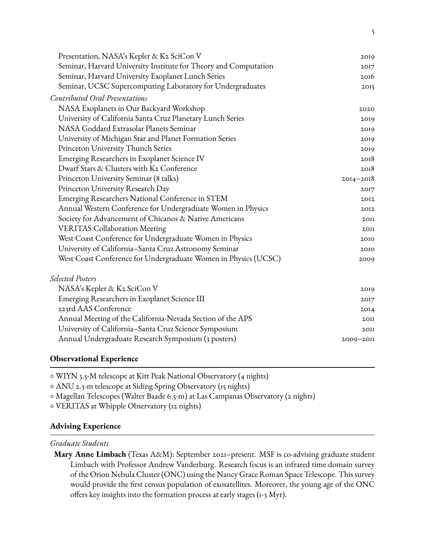| Presentation, NASA's Kepler & K2 SciCon V                        | 2019          |
|------------------------------------------------------------------|---------------|
| Seminar, Harvard University Institute for Theory and Computation | 2017          |
| Seminar, Harvard University Exoplanet Lunch Series               | 2016          |
| Seminar, UCSC Supercomputing Laboratory for Undergraduates       | 2015          |
| <b>Contributed Oral Presentations</b>                            |               |
| NASA Exoplanets in Our Backyard Workshop                         | 2020          |
| University of California Santa Cruz Planetary Lunch Series       | 2019          |
| NASA Goddard Extrasolar Planets Seminar                          | 2019          |
| University of Michigan Star and Planet Formation Series          | 2019          |
| Princeton University Thunch Series                               | 2019          |
| Emerging Researchers in Exoplanet Science IV                     | 2018          |
| Dwarf Stars & Clusters with K2 Conference                        | 2018          |
| Princeton University Seminar (8 talks)                           | $2014 - 2018$ |
| Princeton University Research Day                                | 2017          |
| Emerging Researchers National Conference in STEM                 | 2012          |
| Annual Western Conference for Undergraduate Women in Physics     | 2012          |
| Society for Advancement of Chicanos & Native Americans           | 20II          |
| <b>VERITAS Collaboration Meeting</b>                             | 2OII          |
| West Coast Conference for Undergraduate Women in Physics         | 2010          |
| University of California-Santa Cruz Astronomy Seminar            | 2010          |
| West Coast Conference for Undergraduate Women in Physics (UCSC)  | 2009          |
| <b>Selected Posters</b>                                          |               |
| NASA's Kepler & K2 SciCon V                                      | 2019          |
| Emerging Researchers in Exoplanet Science III                    | 2017          |
| 223rd AAS Conference                                             | 2014          |
| Annual Meeting of the California-Nevada Section of the APS       | 2OII          |
| University of California-Santa Cruz Science Symposium            | 20II          |

## **Observational Experience**

◦ WIYN 3.5-M telescope at Kitt Peak National Observatory (4 nights)

◦ ANU 2.3-m telescope at Siding Spring Observatory (15 nights)

◦ Magellan Telescopes (Walter Baade 6.5-m) at Las Campanas Observatory (2 nights)

◦ VERITAS at Whipple Observatory (12 nights)

## **Advising Experience**

## *Graduate Students*

**Mary Anne Limbach** (Texas A&M): September 2021–present. MSF is co-advising graduate student Limbach with Professor Andrew Vanderburg. Research focus is an infrared time domain survey of the Orion Nebula Cluster (ONC) using the Nancy Grace Roman Space Telescope. This survey would provide the first census population of exosatellites. Moreover, the young age of the ONC offers key insights into the formation process at early stages (1-3 Myr).

Annual Undergraduate Research Symposium (3 posters) 2009–2011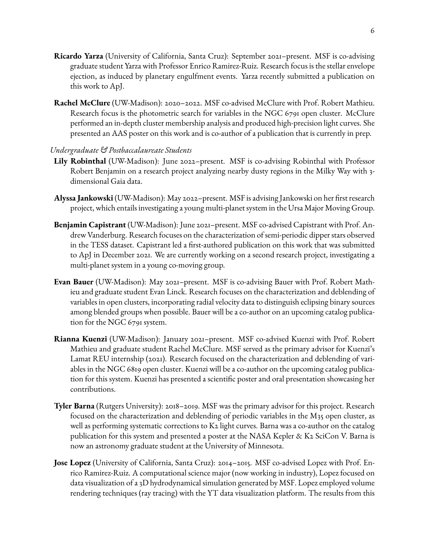- **Ricardo Yarza** (University of California, Santa Cruz): September 2021–present. MSF is co-advising graduate student Yarza with Professor Enrico Ramirez-Ruiz. Research focus is the stellar envelope ejection, as induced by planetary engulfment events. Yarza recently submitted a publication on this work to ApJ.
- **Rachel McClure** (UW-Madison): 2020–2022. MSF co-advised McClure with Prof. Robert Mathieu. Research focus is the photometric search for variables in the NGC 6791 open cluster. McClure performed an in-depth cluster membership analysis and produced high-precision light curves. She presented an AAS poster on this work and is co-author of a publication that is currently in prep.

# *Undergraduate & Postbaccalaureate Students*

- **Lily Robinthal** (UW-Madison): June 2022–present. MSF is co-advising Robinthal with Professor Robert Benjamin on a research project analyzing nearby dusty regions in the Milky Way with 3 dimensional Gaia data.
- **Alyssa Jankowski** (UW-Madison): May 2022–present. MSF is advising Jankowski on her first research project, which entails investigating a young multi-planet system in the Ursa Major Moving Group.
- **Benjamin Capistrant**(UW-Madison): June 2021–present. MSF co-advised Capistrant with Prof. Andrew Vanderburg. Research focuses on the characterization of semi-periodic dipper stars observed in the TESS dataset. Capistrant led a first-authored publication on this work that was submitted to ApJ in December 2021. We are currently working on a second research project, investigating a multi-planet system in a young co-moving group.
- **Evan Bauer** (UW-Madison): May 2021–present. MSF is co-advising Bauer with Prof. Robert Mathieu and graduate student Evan Linck. Research focuses on the characterization and deblending of variables in open clusters, incorporating radial velocity data to distinguish eclipsing binary sources among blended groups when possible. Bauer will be a co-author on an upcoming catalog publication for the NGC 6791 system.
- **Rianna Kuenzi** (UW-Madison): January 2021–present. MSF co-advised Kuenzi with Prof. Robert Mathieu and graduate student Rachel McClure. MSF served as the primary advisor for Kuenzi's Lamat REU internship (2021). Research focused on the characterization and deblending of variables in the NGC 6819 open cluster. Kuenzi will be a co-author on the upcoming catalog publication for this system. Kuenzi has presented a scientic poster and oral presentation showcasing her contributions.
- **Tyler Barna** (Rutgers University): 2018–2019. MSF was the primary advisor for this project. Research focused on the characterization and deblending of periodic variables in the M35 open cluster, as well as performing systematic corrections to K2 light curves. Barna was a co-author on the catalog publication for this system and presented a poster at the NASA Kepler & K2 SciCon V. Barna is now an astronomy graduate student at the University of Minnesota.
- **Jose Lopez** (University of California, Santa Cruz): 2014–2015. MSF co-advised Lopez with Prof. Enrico Ramirez-Ruiz. A computational science major (now working in industry), Lopez focused on data visualization of a 3D hydrodynamical simulation generated by MSF. Lopez employed volume rendering techniques (ray tracing) with the YT data visualization platform. The results from this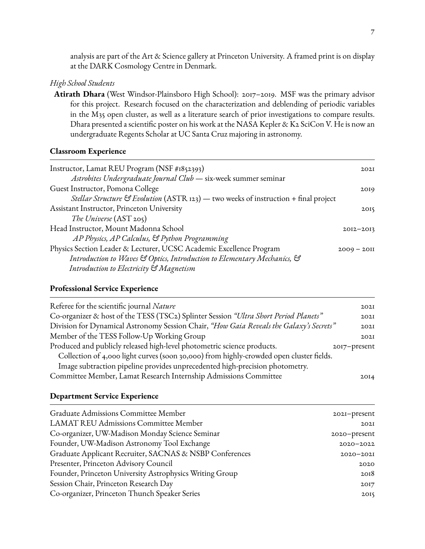analysis are part of the Art & Science gallery at Princeton University. A framed print is on display at the DARK Cosmology Centre in Denmark.

#### *High School Students*

**Atirath Dhara** (West Windsor-Plainsboro High School): 2017–2019. MSF was the primary advisor for this project. Research focused on the characterization and deblending of periodic variables in the M35 open cluster, as well as a literature search of prior investigations to compare results. Dhara presented a scientific poster on his work at the NASA Kepler & K2 SciCon V. He is now an undergraduate Regents Scholar at UC Santa Cruz majoring in astronomy.

#### **Classroom Experience**

| Instructor, Lamat REU Program (NSF #1852393)                                        | 202I          |
|-------------------------------------------------------------------------------------|---------------|
| Astrobites Undergraduate Journal Club - six-week summer seminar                     |               |
| Guest Instructor, Pomona College                                                    | 2019          |
| Stellar Structure & Evolution (ASTR 123) — two weeks of instruction + final project |               |
| Assistant Instructor, Princeton University                                          | 2015          |
| The Universe $(AST 205)$                                                            |               |
| Head Instructor, Mount Madonna School                                               | $20I2 - 20I3$ |
| AP Physics, AP Calculus, & Python Programming                                       |               |
| Physics Section Leader & Lecturer, UCSC Academic Excellence Program                 | $2009 - 2011$ |
| Introduction to Waves & Optics, Introduction to Elementary Mechanics, &             |               |
| Introduction to Electricity & Magnetism                                             |               |

#### **Professional Service Experience**

| Referee for the scientific journal Nature                                               | 202I         |
|-----------------------------------------------------------------------------------------|--------------|
| Co-organizer & host of the TESS (TSC2) Splinter Session "Ultra Short Period Planets"    | 202I         |
| Division for Dynamical Astronomy Session Chair, "How Gaia Reveals the Galaxy's Secrets" | 202I         |
| Member of the TESS Follow-Up Working Group                                              | 202I         |
| Produced and publicly released high-level photometric science products.                 | 2017-present |
| Collection of 4,000 light curves (soon 30,000) from highly-crowded open cluster fields. |              |
| Image subtraction pipeline provides unprecedented high-precision photometry.            |              |
| Committee Member, Lamat Research Internship Admissions Committee                        | 2014         |

#### **Department Service Experience**

| Graduate Admissions Committee Member                     | 2021-present  |
|----------------------------------------------------------|---------------|
| <b>LAMAT REU Admissions Committee Member</b>             | 202I          |
| Co-organizer, UW-Madison Monday Science Seminar          | 2020-present  |
| Founder, UW-Madison Astronomy Tool Exchange              | $2020 - 2022$ |
| Graduate Applicant Recruiter, SACNAS & NSBP Conferences  | $2020 - 202I$ |
| Presenter, Princeton Advisory Council                    | 2020          |
| Founder, Princeton University Astrophysics Writing Group | 2018          |
| Session Chair, Princeton Research Day                    | 2017          |
| Co-organizer, Princeton Thunch Speaker Series            | 2015          |
|                                                          |               |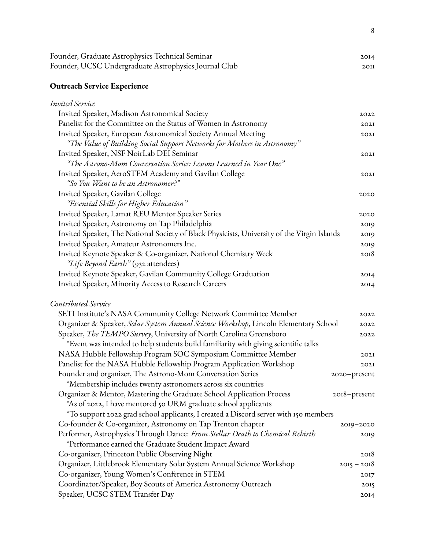| Founder, Graduate Astrophysics Technical Seminar      | 2014 |
|-------------------------------------------------------|------|
| Founder, UCSC Undergraduate Astrophysics Journal Club | 2OII |

# **Outreach Service Experience**

| Invited Service                                                                             |               |
|---------------------------------------------------------------------------------------------|---------------|
| Invited Speaker, Madison Astronomical Society                                               | 2022          |
| Panelist for the Committee on the Status of Women in Astronomy                              | 202I          |
| Invited Speaker, European Astronomical Society Annual Meeting                               | 202I          |
| "The Value of Building Social Support Networks for Mothers in Astronomy"                    |               |
| Invited Speaker, NSF NoirLab DEI Seminar                                                    | 202I          |
| "The Astrono-Mom Conversation Series: Lessons Learned in Year One"                          |               |
| Invited Speaker, AeroSTEM Academy and Gavilan College                                       | 202I          |
| "So You Want to be an Astronomer?"                                                          |               |
| Invited Speaker, Gavilan College                                                            | 2020          |
| "Essential Skills for Higher Education"                                                     |               |
| Invited Speaker, Lamat REU Mentor Speaker Series                                            | 2020          |
| Invited Speaker, Astronomy on Tap Philadelphia                                              | 2019          |
| Invited Speaker, The National Society of Black Physicists, University of the Virgin Islands | 2019          |
| Invited Speaker, Amateur Astronomers Inc.                                                   | 2019          |
| Invited Keynote Speaker & Co-organizer, National Chemistry Week                             | 2018          |
| "Life Beyond Earth" (932 attendees)                                                         |               |
| Invited Keynote Speaker, Gavilan Community College Graduation                               | 2014          |
| Invited Speaker, Minority Access to Research Careers                                        | 2014          |
| Contributed Service                                                                         |               |
| SETI Institute's NASA Community College Network Committee Member                            | 2022          |
| Organizer & Speaker, Solar System Annual Science Workshop, Lincoln Elementary School        | 2022          |
| Speaker, The TEMPO Survey, University of North Carolina Greensboro                          | 2022          |
| *Event was intended to help students build familiarity with giving scientific talks         |               |
| NASA Hubble Fellowship Program SOC Symposium Committee Member                               | 202I          |
| Panelist for the NASA Hubble Fellowship Program Application Workshop                        | 202I          |
| Founder and organizer, The Astrono-Mom Conversation Series                                  | 2020-present  |
| *Membership includes twenty astronomers across six countries                                |               |
| Organizer & Mentor, Mastering the Graduate School Application Process                       | 2018-present  |
| *As of 2022, I have mentored 50 URM graduate school applicants                              |               |
| To support 2022 grad school applicants, I created a Discord server with 150 members         |               |
| Co-founder & Co-organizer, Astronomy on Tap Trenton chapter                                 | 2019-2020     |
| Performer, Astrophysics Through Dance: From Stellar Death to Chemical Rebirth               | 2019          |
| *Performance earned the Graduate Student Impact Award                                       |               |
| Co-organizer, Princeton Public Observing Night                                              | 2018          |
| Organizer, Littlebrook Elementary Solar System Annual Science Workshop                      | $2015 - 2018$ |
| Co-organizer, Young Women's Conference in STEM                                              | 2017          |
| Coordinator/Speaker, Boy Scouts of America Astronomy Outreach                               | 2015          |
| Speaker, UCSC STEM Transfer Day                                                             | 2014          |